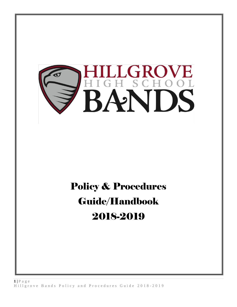

# Policy & Procedures Guide/Handbook 2018-2019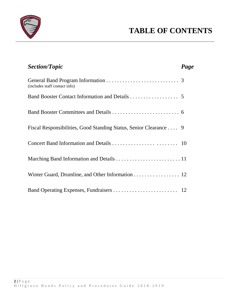

| <b>Section/Topic</b>                                               | Page |
|--------------------------------------------------------------------|------|
| (includes staff contact info)                                      |      |
|                                                                    |      |
|                                                                    |      |
| Fiscal Responsibilities, Good Standing Status, Senior Clearance  9 |      |
|                                                                    |      |
|                                                                    |      |
| Winter Guard, Drumline, and Other Information 12                   |      |
|                                                                    |      |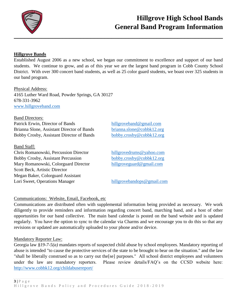

## **Hillgrove High School Bands General Band Program Information**

#### **Hillgrove Bands**

Established August 2006 as a new school, we began our commitment to excellence and support of our band students. We continue to grow, and as of this year we are the largest band program in Cobb County School District. With over 300 concert band students, as well as 25 color guard students, we boast over 325 students in our band program.

#### Physical Address:

4165 Luther Ward Road, Powder Springs, GA 30127 678-331-3962 [www.hillgroveband.com](http://www.hillgroveband.com/)

#### Band Directors:

Patrick Erwin, Director of Bands [hillgroveband@gmail.com](mailto:hillgroveband@gmail.com) Brianna Slone, Assistant Director of Bands [brianna.slone@cobbk12.org](mailto:brianna.slone@cobbk12.org) Bobby Crosby, Assistant Director of Bands [bobby.crosby@cobbk12.org](mailto:bobby.crosby@cobbk12.org)

#### Band Staff:

Chris Romanowski, Percussion Director [hillgrovedrums@yahoo.com](mailto:hillgrovedrums@yahoo.com) Bobby Crosby, Assistant Percussion [bobby.crosby@cobbk12.org](mailto:bobby.crosby@cobbk12.org) Mary Romanowski, Colorguard Director [hillgroveguard@gmail.com](mailto:hillgroveguard@gmail.com) Scott Beck, Artistic Director Megan Baker, Colorguard Assistant Lori Sweet, Operations Manager [hillgrovebandops@gmail.com](mailto:hillgrovebandops@gmail.com)

#### Communications: Website, Email, Facebook, etc

Communications are distributed often with supplemental information being provided as necessary. We work diligently to provide reminders and information regarding concert band, marching band, and a host of other opportunities for our band collective. The main band calendar is posted on the band website and is updated regularly. You have the option to sync to the calendar via Charms and we encourage you to do this so that any revisions or updated are automatically uploaded to your phone and/or device.

#### Mandatory Reporter Law:

Georgia law *§19-7-5(a)* mandates reports of suspected child abuse by school employees. Mandatory reporting of abuse is intended "to cause the protective services of the state to be brought to bear on the situation." and the law "shall be liberally construed so as to carry out the[se] purposes." All school district employees and volunteers under the law are mandatory reporters. Please review details/FAQ's on the CCSD website here: <http://www.cobbk12.org/childabusereport/>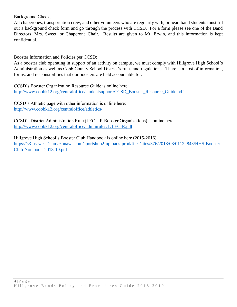#### Background Checks:

All chaperones, transportation crew, and other volunteers who are regularly with, or near, band students must fill out a background check form and go through the process with CCSD. For a form please see one of the Band Directors, Mrs. Sweet, or Chaperone Chair. Results are given to Mr. Erwin, and this information is kept confidential.

Booster Information and Policies per CCSD:

As a booster club operating in support of an activity on campus, we must comply with Hillgrove High School's Administration as well as Cobb County School District's rules and regulations. There is a host of information, forms, and responsibilities that our boosters are held accountable for.

CCSD's Booster Organization Resource Guide is online here: [http://www.cobbk12.org/centraloffice/studentsupport/CCSD\\_Booster\\_Resource\\_Guide.pdf](http://www.cobbk12.org/centraloffice/studentsupport/CCSD_Booster_Resource_Guide.pdf)

CCSD's Athletic page with other information is online here: <http://www.cobbk12.org/centraloffice/athletics/>

CCSD's District Administration Rule (LEC—R Booster Organizations) is online here: <http://www.cobbk12.org/centraloffice/adminrules/L/LEC-R.pdf>

Hillgrove High School's Booster Club Handbook is online here (2015-2016):

https://s3-us-west-2.amazonaws.com/sportshub2-uploads-prod/files/sites/376/2018/08/01122843/HHS-Booster-Club-Notebook-2018-19.pdf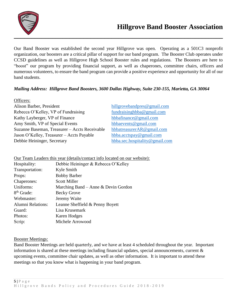

Our Band Booster was established the second year Hillgrove was open. Operating as a 501C3 nonprofit organization, our boosters are a critical pillar of support for our band program. The Booster Club operates under CCSD guidelines as well as Hillgrove High School Booster rules and regulations. The Boosters are here to "boost" our program by providing financial support, as well as chaperones, committee chairs, officers and numerous volunteers, to ensure the band program can provide a positive experience and opportunity for all of our band students.

#### *Mailing Address: Hillgrove Band Boosters, 3600 Dallas Highway, Suite 230-155, Marietta, GA 30064*

| Officers:                                     |                                |
|-----------------------------------------------|--------------------------------|
| Alison Barber, President                      | hillgrovebandpres@gmail.com    |
| Rebecca O'Kelley, VP of Fundraising           | fundraisinghbba@gmail.com      |
| Kathy Layberger, VP of Finance                | hbbafinance@gmail.com          |
| Amy Smith, VP of Special Events               | hbbaevents@gmail.com           |
| Suzanne Baseman, Treasurer - Accts Receivable | hbbatreasurerAR@gmail.com      |
| Jason O'Kelley, Treasurer – Accts Payable     | hbba.acctspay@gmail.com        |
| Debbie Heininger, Secretary                   | hbba.sec.hospitality@gmail.com |

Our Team Leaders this year (details/contact info located on our website):

| Debbie Heininger & Rebecca O'Kelley    |
|----------------------------------------|
| Kyle Smith                             |
| <b>Bobby Barber</b>                    |
| <b>Scott Miller</b>                    |
| Marching Band – Anne $\&$ Devin Gordon |
| <b>Becky Grove</b>                     |
| Jeremy Waite                           |
| Leanne Sheffield & Penny Boyett        |
| Lisa Krusemark                         |
| Karen Hodges                           |
| Michele Arrowood                       |
|                                        |

#### Booster Meetings:

Band Booster Meetings are held quarterly, and we have at least 4 scheduled throughout the year. Important information is shared at these meetings including financial updates, special announcements, current & upcoming events, committee chair updates, as well as other information. It is important to attend these meetings so that you know what is happening in your band program.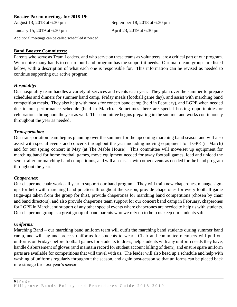#### **Booster Parent meetings for 2018-19:**

August 13, 2018 at 6:30 pm September 18, 2018 at 6:30 pm

January 15, 2019 at 6:30 pm April 23, 2019 at 6:30 pm

Additional meetings can be called/scheduled if needed.

#### **Band Booster Committees:**

Parents who serve as Team Leaders, and who serve on these teams as volunteers, are a critical part of our program. We require many hands to ensure our band program has the support it needs. Our main team groups are listed below, with a description of what each one is responsible for. This information can be revised as needed to continue supporting our active program.

#### *Hospitality:*

Our hospitality team handles a variety of services and events each year. They plan over the summer to prepare schedules and dinners for summer band camp, Friday meals (football game day), and assist with marching band competition meals. They also help with meals for concert band camp (held in February), and LGPE when needed due to our performance schedule (held in March). Sometimes there are special hosting opportunities or celebrations throughout the year as well. This committee begins preparing in the summer and works continuously throughout the year as needed.

#### *Transportation:*

Our transportation team begins planning over the summer for the upcoming marching band season and will also assist with special events and concerts throughout the year including moving equipment for LGPE (in March) and for our spring concert in May (at The Mable House). This committee will move/set up equipment for marching band for home football games, move equipment needed for away football games, load and unload the semi-trailer for marching band competitions, and will also assist with other events as needed for the band program throughout the year.

#### *Chaperones:*

Our chaperone chair works all year to support our band program. They will train new chaperones, manage signups for help with marching band practices throughout the season, provide chaperones for every football game (sign-ups taken from the group for this), provide chaperones for marching band competitions (chosen by chair and band directors), and also provide chaperone team support for our concert band camp in February, chaperones for LGPE in March, and support of any other special events where chaperones are needed to help us with students. Our chaperone group is a great group of band parents who we rely on to help us keep our students safe.

#### *Uniforms:*

Marching Band – our marching band uniform team will outfit the marching band students during summer band camp, and will tag and process uniforms for students to wear. Chair and committee members will pull out uniforms on Fridays before football games for students to dress, help students with any uniform needs they have, handle disbursement of gloves (and maintain record for student account billing of them), and ensure spare uniform parts are available for competitions that will travel with us. The leader will also head up a schedule and help with washing of uniforms regularly throughout the season, and again post-season so that uniforms can be placed back into storage for next year's season.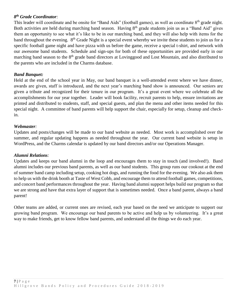#### *8 th Grade Coordinator:*

This leader will coordinate and be onsite for "Band Aids" (football games), as well as coordinate 8<sup>th</sup> grade night. Both activities are held during marching band season. Having 8<sup>th</sup> grade students join us as a "Band Aid" gives them an opportunity to see what it's like to be in our marching band, and they will also help with items for the band throughout the evening.  $8<sup>th</sup>$  Grade Night is a special event whereby we invite these students to join us for a specific football game night and have pizza with us before the game, receive a special t-shirt, and network with our awesome band students. Schedule and sign-ups for both of these opportunities are provided early in our marching band season to the 8<sup>th</sup> grade band directors at Lovinggood and Lost Mountain, and also distributed to the parents who are included in the Charms database.

#### *Band Banquet:*

Held at the end of the school year in May, our band banquet is a well-attended event where we have dinner, awards are given, staff is introduced, and the next year's marching band show is announced. Our seniors are given a tribute and recognized for their tenure in our program. It's a great event where we celebrate all the accomplishments for our year together. Leader will book facility, recruit parents to help, ensure invitations are printed and distributed to students, staff, and special guests, and plan the menu and other items needed for this special night. A committee of band parents will help support the chair, especially for setup, cleanup and checkin.

#### *Webmaster:*

Updates and posts/changes will be made to our band website as needed. Most work is accomplished over the summer, and regular updating happens as needed throughout the year. Our current band website is setup in WordPress, and the Charms calendar is updated by our band directors and/or our Operations Manager.

#### *Alumni Relations:*

Updates and keeps our band alumni in the loop and encourages them to stay in touch (and involved!). Band alumni includes our previous band parents, as well as our band students. This group runs our cookout at the end of summer band camp including setup, cooking hot dogs, and running the food for the evening. We also ask them to help us with the drink booth at Taste of West Cobb, and encourage them to attend football games, competitions, and concert band performances throughout the year. Having band alumni support helps build our program so that we are strong and have that extra layer of support that is sometimes needed. Once a band parent, always a band parent!

Other teams are added, or current ones are revised, each year based on the need we anticipate to support our growing band program. We encourage our band parents to be active and help us by volunteering. It's a great way to make friends, get to know fellow band parents, and understand all the things we do each year.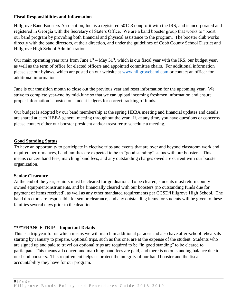#### **Fiscal Responsibilities and Information**

Hillgrove Band Boosters Association, Inc. is a registered 501C3 nonprofit with the IRS, and is incorporated and registered in Georgia with the Secretary of State's Office. We are a band booster group that works to "boost" our band program by providing both financial and physical assistance to the program. The booster club works directly with the band directors, at their direction, and under the guidelines of Cobb County School District and Hillgrove High School Administration.

Our main operating year runs from June  $1<sup>st</sup> - May 31<sup>st</sup>$ , which is our fiscal year with the IRS, our budget year, as well as the term of office for elected officers and appointed committee chairs. For additional information please see our bylaws, which are posted on our website at [www.hillgroveband.com](http://www.hillgroveband.com/) or contact an officer for additional information.

June is our transition month to close out the previous year and reset information for the upcoming year. We strive to complete year-end by mid-June so that we can upload incoming freshmen information and ensure proper information is posted on student ledgers for correct tracking of funds.

Our budget is adopted by our band membership at the spring HBBA meeting and financial updates and details are shared at each HBBA general meeting throughout the year. If, at any time, you have questions or concerns please contact either our booster president and/or treasurer to schedule a meeting.

#### **Good Standing Status**

To have an opportunity to participate in elective trips and events that are over and beyond classroom work and required performances, band families are expected to be in "good standing" status with our boosters. This means concert band fees, marching band fees, and any outstanding charges owed are current with our booster organization.

#### **Senior Clearance**

At the end of the year, seniors must be cleared for graduation. To be cleared, students must return county owned equipment/instruments, and be financially cleared with our boosters (no outstanding funds due for payment of items received), as well as any other mandated requirements per CCSD/Hillgrove High School. The band directors are responsible for senior clearance, and any outstanding items for students will be given to these families several days prior to the deadline.

#### **\*\*\*\*FRANCE TRIP – Important Details**

This is a trip year for us which means we will march in additional parades and also have after-school rehearsals starting by January to prepare. Optional trips, such as this one, are at the expense of the student. Students who are signed up and paid to travel on optional trips are required to be "in good standing" to be cleared to participate. This means all concert and marching band fees are paid, and there is no outstanding balance due to our band boosters. This requirement helps us protect the integrity of our band booster and the fiscal accountability they have for our program.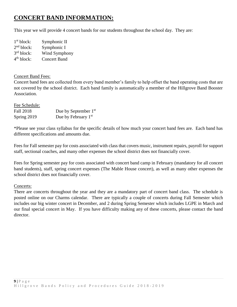### **CONCERT BAND INFORMATION:**

This year we will provide 4 concert bands for our students throughout the school day. They are:

| 1 <sup>st</sup> block: | Symphonic II        |
|------------------------|---------------------|
| 2 <sup>nd</sup> block: | Symphonic I         |
| 3 <sup>rd</sup> block: | Wind Symphony       |
| 4 <sup>th</sup> block: | <b>Concert Band</b> |

#### Concert Band Fees:

Concert band fees are collected from every band member's family to help offset the band operating costs that are not covered by the school district. Each band family is automatically a member of the Hillgrove Band Booster Association.

Fee Schedule:

| Fall 2018   | Due by September $1st$ |
|-------------|------------------------|
| Spring 2019 | Due by February $1st$  |

\*Please see your class syllabus for the specific details of how much your concert band fees are. Each band has different specifications and amounts due.

Fees for Fall semester pay for costs associated with class that covers music, instrument repairs, payroll for support staff, sectional coaches, and many other expenses the school district does not financially cover.

Fees for Spring semester pay for costs associated with concert band camp in February (mandatory for all concert band students), staff, spring concert expenses (The Mable House concert), as well as many other expenses the school district does not financially cover.

#### Concerts:

There are concerts throughout the year and they are a mandatory part of concert band class. The schedule is posted online on our Charms calendar. There are typically a couple of concerts during Fall Semester which includes our big winter concert in December, and 2 during Spring Semester which includes LGPE in March and our final special concert in May. If you have difficulty making any of these concerts, please contact the band director.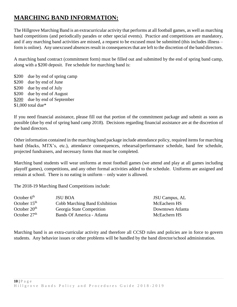## **MARCHING BAND INFORMATION:**

The Hillgrove Marching Band is an extracurricular activity that performs at all football games, as well as marching band competitions (and periodically parades or other special events). Practice and competitions are mandatory, and if any marching band activities are missed, a request to be excused must be submitted (this includes illness – form is online). Any unexcused absences result in consequences that are left to the discretion of the band directors.

A marching band contract (commitment form) must be filled out and submitted by the end of spring band camp, along with a \$200 deposit. Fee schedule for marching band is:

\$200 due by end of spring camp \$200 due by end of June \$200 due by end of July \$200 due by end of August \$200 due by end of September \$1,000 total due\*

If you need financial assistance, please fill out that portion of the commitment package and submit as soon as possible (due by end of spring band camp 2018). Decisions regarding financial assistance are at the discretion of the band directors.

Other information contained in the marching band package include attendance policy, required items for marching band (blacks, MTX's, etc.), attendance consequences, rehearsal/performance schedule, band fee schedule, projected fundraisers, and necessary forms that must be completed.

Marching band students will wear uniforms at most football games (we attend and play at all games including playoff games), competitions, and any other formal activities added to the schedule. Uniforms are assigned and remain at school. There is no eating in uniform – only water is allowed.

The 2018-19 Marching Band Competitions include:

| October $6th$  | <b>JSU BOA</b>                | JSU Campus, AL   |
|----------------|-------------------------------|------------------|
| October $15th$ | Cobb Marching Band Exhibition | McEachern HS     |
| October $20th$ | Georgia State Competition     | Downtown Atlanta |
| October $27th$ | Bands Of America - Atlanta    | McEachern HS     |

Marching band is an extra-curricular activity and therefore all CCSD rules and policies are in force to govern students. Any behavior issues or other problems will be handled by the band director/school administration.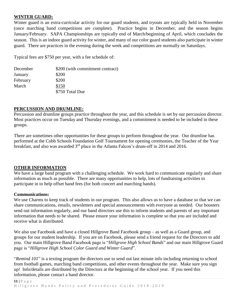#### **WINTER GUARD:**

Winter guard is an extra-curricular activity for our guard students, and tryouts are typically held in November (once marching band competitions are complete). Practice begins in December, and the season begins January/February. SAPA Championships are typically end of March/beginning of April, which concludes the season. This is an indoor guard activity for winter, and many of our color guard students also participate in winter guard. There are practices in the evening during the week and competitions are normally on Saturdays.

Typical fees are \$750 per year, with a fee schedule of:

| December | \$200 (with commitment contract) |
|----------|----------------------------------|
| January  | \$200                            |
| February | \$200                            |
| March    | \$150                            |
|          | \$750 Total Due                  |

#### **PERCUSSION AND DRUMLINE:**

Percussion and drumline groups practice throughout the year, and this schedule is set by our percussion director. Most practices occur on Tuesday and Thursday evenings, and a commitment is needed to be included in these groups.

There are sometimes other opportunities for these groups to perform throughout the year. Our drumline has performed at the Cobb Schools Foundation Golf Tournament for opening ceremonies, the Teacher of the Year breakfast, and also was awarded  $3<sup>rd</sup>$  place in the Atlanta Falcon's drum-off in 2014 and 2016.

#### **OTHER INFORMATION**

We have a large band program with a challenging schedule. We work hard to communicate regularly and share information as much as possible. There are many opportunities to help, lots of fundraising activities to participate in to help offset band fees (for both concert and marching bands).

#### **Communications:**

We use Charms to keep track of students in our program. This also allows us to have a database so that we can share communications, emails, newsletters and special announcements with everyone as needed. Our boosters send out information regularly, and our band directors use this to inform students and parents of any important information that needs to be shared. Please ensure your information is complete so that you are included and receive what is distributed.

We also use Facebook and have a closed Hillgrove Band Facebook group – as well as a Guard group, and groups for our student leadership. If you are on Facebook, please send a friend request for the Directors to add you. Our main Hillgrove Band Facebook page is "*Hillgrove High School Bands*" and our main Hillgrove Guard page is "*Hillgrove High School Color Guard and Winter Guard*".

"*Remind 101*" is a texting program the directors use to send out last minute info including returning to school from football games, marching band competitions, and other events throughout the year. Make sure you sign up! Info/details are distributed by the Directors at the beginning of the school year. If you need this information, please contact a band director.